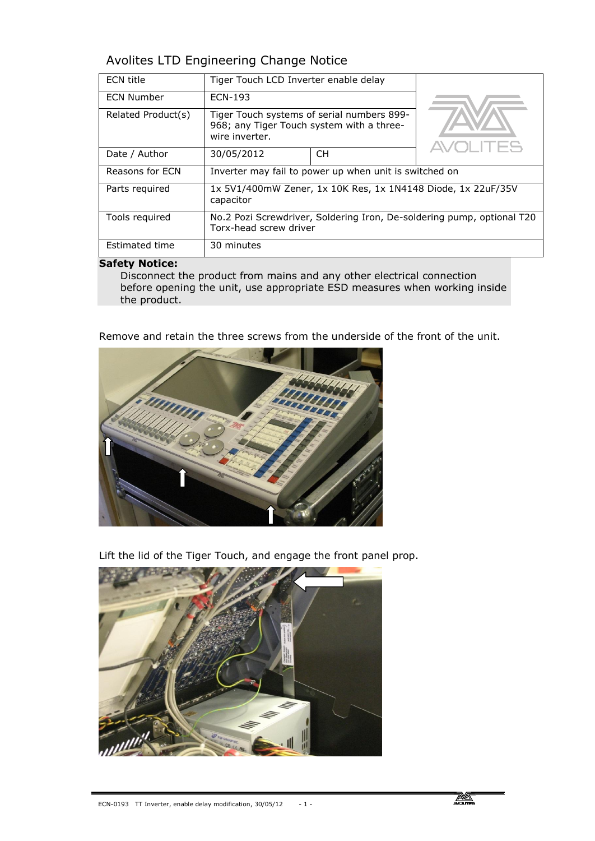|  | Avolites LTD Engineering Change Notice |  |  |
|--|----------------------------------------|--|--|
|--|----------------------------------------|--|--|

| ECN title          | Tiger Touch LCD Inverter enable delay                                                                     |           |           |  |
|--------------------|-----------------------------------------------------------------------------------------------------------|-----------|-----------|--|
| <b>ECN Number</b>  | <b>ECN-193</b>                                                                                            |           |           |  |
| Related Product(s) | Tiger Touch systems of serial numbers 899-<br>968; any Tiger Touch system with a three-<br>wire inverter. |           | - 1 II 55 |  |
| Date / Author      | 30/05/2012                                                                                                | <b>CH</b> |           |  |
| Reasons for ECN    | Inverter may fail to power up when unit is switched on                                                    |           |           |  |
| Parts required     | 1x 5V1/400mW Zener, 1x 10K Res, 1x 1N4148 Diode, 1x 22uF/35V<br>capacitor                                 |           |           |  |
| Tools required     | No.2 Pozi Screwdriver, Soldering Iron, De-soldering pump, optional T20<br>Torx-head screw driver          |           |           |  |
| Estimated time     | 30 minutes                                                                                                |           |           |  |

## **Safety Notice:**

Disconnect the product from mains and any other electrical connection before opening the unit, use appropriate ESD measures when working inside the product.

Remove and retain the three screws from the underside of the front of the unit.



Lift the lid of the Tiger Touch, and engage the front panel prop.

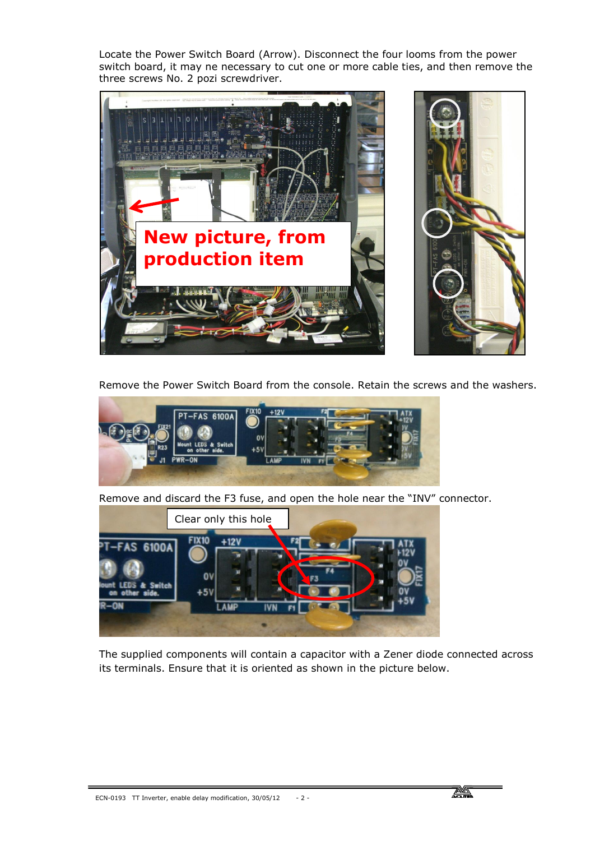Locate the Power Switch Board (Arrow). Disconnect the four looms from the power switch board, it may ne necessary to cut one or more cable ties, and then remove the three screws No. 2 pozi screwdriver.



Remove the Power Switch Board from the console. Retain the screws and the washers.



Remove and discard the F3 fuse, and open the hole near the "INV" connector.



The supplied components will contain a capacitor with a Zener diode connected across its terminals. Ensure that it is oriented as shown in the picture below.

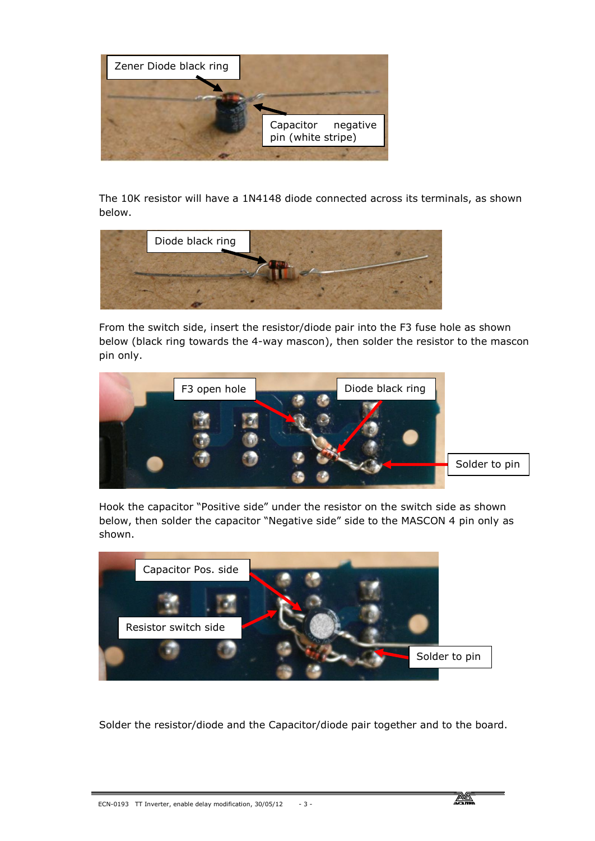

The 10K resistor will have a 1N4148 diode connected across its terminals, as shown below.



From the switch side, insert the resistor/diode pair into the F3 fuse hole as shown below (black ring towards the 4-way mascon), then solder the resistor to the mascon pin only.



Hook the capacitor "Positive side" under the resistor on the switch side as shown below, then solder the capacitor "Negative side" side to the MASCON 4 pin only as shown.



Solder the resistor/diode and the Capacitor/diode pair together and to the board.